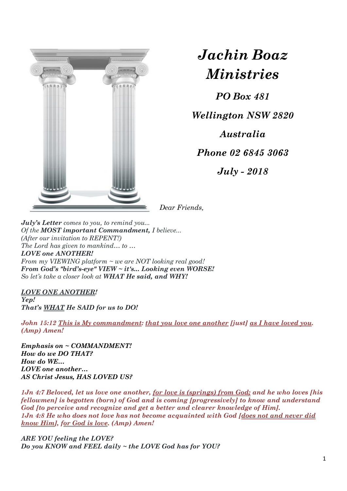

## *Jachin Boaz Ministries*

*PO Box 481*

*Wellington NSW 2820*

*Australia*

*Phone 02 6845 3063*

*July - 2018*

*Dear Friends,*

*July's Letter comes to you, to remind you... Of the MOST important Commandment, I believe... (After our invitation to REPENT!) The Lord has given to mankind… to … LOVE one ANOTHER! From my VIEWING platform ~ we are NOT looking real good! From God's "bird's-eye" VIEW ~ it's... Looking even WORSE! So let's take a closer look at WHAT He said, and WHY!*

*LOVE ONE ANOTHER! Yep! That's WHAT He SAID for us to DO!*

*John 15:12 This is My commandment: that you love one another [just] as I have loved you. (Amp) Amen!*

*Emphasis on ~ COMMANDMENT! How do we DO THAT? How do WE… LOVE one another… AS Christ Jesus, HAS LOVED US?*

*1Jn 4:7 Beloved, let us love one another, for love is (springs) from God; and he who loves [his fellowmen] is begotten (born) of God and is coming [progressively] to know and understand God [to perceive and recognize and get a better and clearer knowledge of Him]. 1Jn 4:8 He who does not love has not become acquainted with God [does not and never did know Him], for God is love. (Amp) Amen!*

*ARE YOU feeling the LOVE? Do you KNOW and FEEL daily ~ the LOVE God has for YOU?*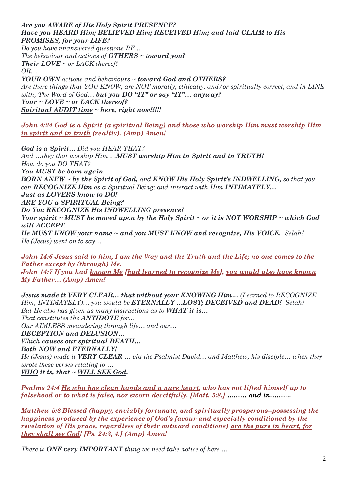## *Are you AWARE of His Holy Spirit PRESENCE? Have you HEARD Him; BELIEVED Him; RECEIVED Him; and laid CLAIM to His PROMISES, for your LIFE?*

*Do you have unanswered questions RE … The behaviour and actions of OTHERS ~ toward you? Their LOVE ~ or LACK thereof? OR… YOUR OWN actions and behaviours ~ toward God and OTHERS?*

*Are there things that YOU KNOW, are NOT morally, ethically, and/or spiritually correct, and in LINE with, The Word of God… but you DO "IT" or say "IT"… anyway? Your ~ LOVE ~ or LACK thereof? Spiritual AUDIT time ~ here, right now!!!!!*

*John 4:24 God is a Spirit (a spiritual Being) and those who worship Him must worship Him in spirit and in truth (reality). (Amp) Amen!*

*God is a Spirit… Did you HEAR THAT? And …they that worship Him …MUST worship Him in Spirit and in TRUTH! How do you DO THAT? You MUST be born again. BORN ANEW ~ by the Spirit of God, and KNOW His Holy Spirit's INDWELLING, so that you can RECOGNIZE Him as a Spiritual Being; and interact with Him INTIMATELY… Just as LOVERS know to DO! ARE YOU a SPIRITUAL Being? Do You RECOGNIZE His INDWELLING presence? Your spirit ~ MUST be moved upon by the Holy Spirit ~ or it is NOT WORSHIP ~ which God will ACCEPT. He MUST KNOW your name ~ and you MUST KNOW and recognize, His VOICE. Selah! He (Jesus) went on to say…*

*John 14:6 Jesus said to him, I am the Way and the Truth and the Life; no one comes to the Father except by (through) Me. John 14:7 If you had known Me [had learned to recognize Me], you would also have known My Father… (Amp) Amen!*

*Jesus made it VERY CLEAR… that without your KNOWING Him… (Learned to RECOGNIZE Him, INTIMATELY)… you would be ETERNALLY …LOST; DECEIVED and DEAD! Selah! But He also has given us many instructions as to WHAT it is… That constitutes the ANTIDOTE for… Our AIMLESS meandering through life… and our… DECEPTION and DELUSION… Which causes our spiritual DEATH… Both NOW and ETERNALLY! He (Jesus) made it VERY CLEAR … via the Psalmist David… and Matthew, his disciple… when they wrote these verses relating to … WHO it is, that ~ WILL SEE God.*

*Psalms 24:4 He who has clean hands and a pure heart, who has not lifted himself up to falsehood or to what is false, nor sworn deceitfully. [Matt. 5:8.] ……… and in……….*

*Matthew 5:8 Blessed (happy, enviably fortunate, and spiritually prosperous--possessing the happiness produced by the experience of God's favour and especially conditioned by the revelation of His grace, regardless of their outward conditions) are the pure in heart, for they shall see God! [Ps. 24:3, 4.] (Amp) Amen!*

*There is ONE very IMPORTANT thing we need take notice of here …*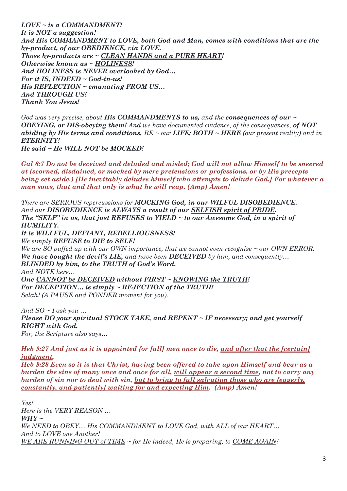*LOVE ~ is a COMMANDMENT! It is NOT a suggestion! And His COMMANDMENT to LOVE, both God and Man, comes with conditions that are the by-product, of our OBEDIENCE, via LOVE. Those by-products are ~ CLEAN HANDS and a PURE HEART! Otherwise known as ~ HOLINESS! And HOLINESS is NEVER overlooked by God… For it IS, INDEED ~ God-in-us! His REFLECTION ~ emanating FROM US… And THROUGH US! Thank You Jesus!*

*God was very precise, about His COMMANDMENTS to us, and the consequences of our ~ OBEYING, or DIS-obeying them! And we have documented evidence, of the consequences, of NOT abiding by His terms and conditions, RE ~ our LIFE; BOTH ~ HERE (our present reality) and in ETERNITY!*

*He said ~ He WILL NOT be MOCKED!* 

*Gal 6:7 Do not be deceived and deluded and misled; God will not allow Himself to be sneered at (scorned, disdained, or mocked by mere pretensions or professions, or by His precepts being set aside.) [He inevitably deludes himself who attempts to delude God.] For whatever a man sows, that and that only is what he will reap. (Amp) Amen!*

*There are SERIOUS repercussions for MOCKING God, in our WILFUL DISOBEDIENCE. And our DISOBEDIENCE is ALWAYS a result of our SELFISH spirit of PRIDE. The "SELF" in us, that just REFUSES to YIELD ~ to our Awesome God, in a spirit of HUMILITY.*

*It is WILLFUL, DEFIANT, REBELLIOUSNESS! We simply REFUSE to DIE to SELF!* 

*We are SO puffed up with our OWN importance, that we cannot even recognise ~ our OWN ERROR. We have bought the devil's LIE, and have been DECEIVED by him, and consequently… BLINDED by him, to the TRUTH of God's Word. And NOTE here… One CANNOT be DECEIVED without FIRST ~ KNOWING the TRUTH! For DECEPTION… is simply ~ REJECTION of the TRUTH!* 

*Selah! (A PAUSE and PONDER moment for you).*

*And SO ~ I ask you … Please DO your spiritual STOCK TAKE, and REPENT ~ IF necessary; and get yourself RIGHT with God. For, the Scripture also says…*

*Heb 9:27 And just as it is appointed for [all] men once to die, and after that the [certain] judgment,* 

*Heb 9:28 Even so it is that Christ, having been offered to take upon Himself and bear as a burden the sins of many once and once for all, will appear a second time, not to carry any burden of sin nor to deal with sin, but to bring to full salvation those who are [eagerly, constantly, and patiently] waiting for and expecting Him. (Amp) Amen!*

*Yes! Here is the VERY REASON … WHY ~ We NEED to OBEY… His COMMANDMENT to LOVE God, with ALL of our HEART… And to LOVE one Another! WE ARE RUNNING OUT of TIME ~ for He indeed, He is preparing, to COME AGAIN!*